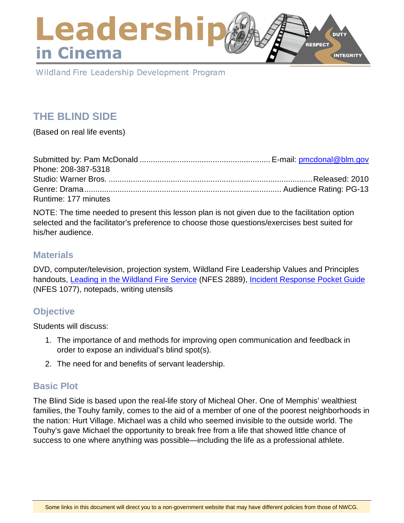## Leadershi **DUTY RESPECT** in Cinema **INTEGRITY**

Wildland Fire Leadership Development Program

# **THE BLIND SIDE**

(Based on real life events)

| Phone: 208-387-5318  |  |
|----------------------|--|
|                      |  |
|                      |  |
| Runtime: 177 minutes |  |

NOTE: The time needed to present this lesson plan is not given due to the facilitation option selected and the facilitator's preference to choose those questions/exercises best suited for his/her audience.

### **Materials**

DVD, computer/television, projection system, Wildland Fire Leadership Values and Principles handouts, [Leading in the Wildland Fire Service](https://www.nwcg.gov/sites/default/files/products/pms494-2_0.pdf) (NFES 2889), [Incident Response Pocket Guide](https://www.nwcg.gov/sites/default/files/publications/pms461.pdf) (NFES 1077), notepads, writing utensils

## **Objective**

Students will discuss:

- 1. The importance of and methods for improving open communication and feedback in order to expose an individual's blind spot(s).
- 2. The need for and benefits of servant leadership.

## **Basic Plot**

The Blind Side is based upon the real-life story of Micheal Oher. One of Memphis' wealthiest families, the Touhy family, comes to the aid of a member of one of the poorest neighborhoods in the nation: Hurt Village. Michael was a child who seemed invisible to the outside world. The Touhy's gave Michael the opportunity to break free from a life that showed little chance of success to one where anything was possible—including the life as a professional athlete.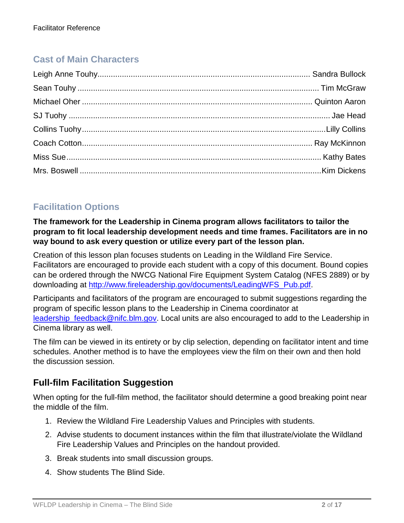# **Cast of Main Characters**

# **Facilitation Options**

**The framework for the Leadership in Cinema program allows facilitators to tailor the program to fit local leadership development needs and time frames. Facilitators are in no way bound to ask every question or utilize every part of the lesson plan.**

Creation of this lesson plan focuses students on Leading in the Wildland Fire Service. Facilitators are encouraged to provide each student with a copy of this document. Bound copies can be ordered through the NWCG National Fire Equipment System Catalog (NFES 2889) or by downloading at [http://www.fireleadership.gov/documents/LeadingWFS\\_Pub.pdf.](http://www.fireleadership.gov/documents/LeadingWFS_Pub.pdf)

Participants and facilitators of the program are encouraged to submit suggestions regarding the program of specific lesson plans to the Leadership in Cinema coordinator at leadership feedback@nifc.blm.gov. Local units are also encouraged to add to the Leadership in Cinema library as well.

The film can be viewed in its entirety or by clip selection, depending on facilitator intent and time schedules. Another method is to have the employees view the film on their own and then hold the discussion session.

## **Full-film Facilitation Suggestion**

When opting for the full-film method, the facilitator should determine a good breaking point near the middle of the film.

- 1. Review the Wildland Fire Leadership Values and Principles with students.
- 2. Advise students to document instances within the film that illustrate/violate the Wildland Fire Leadership Values and Principles on the handout provided.
- 3. Break students into small discussion groups.
- 4. Show students The Blind Side.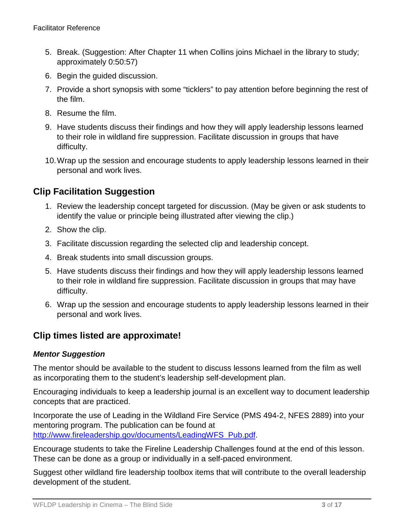- 5. Break. (Suggestion: After Chapter 11 when Collins joins Michael in the library to study; approximately 0:50:57)
- 6. Begin the guided discussion.
- 7. Provide a short synopsis with some "ticklers" to pay attention before beginning the rest of the film.
- 8. Resume the film.
- 9. Have students discuss their findings and how they will apply leadership lessons learned to their role in wildland fire suppression. Facilitate discussion in groups that have difficulty.
- 10.Wrap up the session and encourage students to apply leadership lessons learned in their personal and work lives.

## **Clip Facilitation Suggestion**

- 1. Review the leadership concept targeted for discussion. (May be given or ask students to identify the value or principle being illustrated after viewing the clip.)
- 2. Show the clip.
- 3. Facilitate discussion regarding the selected clip and leadership concept.
- 4. Break students into small discussion groups.
- 5. Have students discuss their findings and how they will apply leadership lessons learned to their role in wildland fire suppression. Facilitate discussion in groups that may have difficulty.
- 6. Wrap up the session and encourage students to apply leadership lessons learned in their personal and work lives.

## **Clip times listed are approximate!**

### *Mentor Suggestion*

The mentor should be available to the student to discuss lessons learned from the film as well as incorporating them to the student's leadership self-development plan.

Encouraging individuals to keep a leadership journal is an excellent way to document leadership concepts that are practiced.

Incorporate the use of Leading in the Wildland Fire Service (PMS 494-2, NFES 2889) into your mentoring program. The publication can be found at [http://www.fireleadership.gov/documents/LeadingWFS\\_Pub.pdf.](http://www.fireleadership.gov/documents/LeadingWFS_Pub.pdf)

Encourage students to take the Fireline Leadership Challenges found at the end of this lesson. These can be done as a group or individually in a self-paced environment.

Suggest other wildland fire leadership toolbox items that will contribute to the overall leadership development of the student.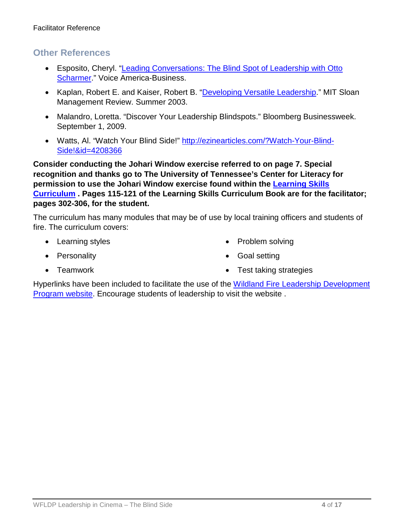### **Other References**

- Esposito, Cheryl. ["Leading Conversations: The Blind Spot of Leadership with Otto](http://alexsaconsulting.com/leading-conversations/special-encore-presentation-c-otto-scharmer-the-blind-spot-of-leadership)  [Scharmer.](http://alexsaconsulting.com/leading-conversations/special-encore-presentation-c-otto-scharmer-the-blind-spot-of-leadership)" Voice America-Business.
- Kaplan, Robert E. and Kaiser, Robert B. ["Developing Versatile Leadership.](http://sloanreview.mit.edu/article/developing-versatile-leadership/)" MIT Sloan Management Review. Summer 2003.
- Malandro, Loretta. "Discover Your Leadership Blindspots." Bloomberg Businessweek. September 1, 2009.
- Watts, Al. "Watch Your Blind Side!" [http://ezinearticles.com/?Watch-Your-Blind-](http://ezinearticles.com/?Watch-Your-Blind-Side!&id=4208366)[Side!&id=4208366](http://ezinearticles.com/?Watch-Your-Blind-Side!&id=4208366)

**Consider conducting the Johari Window exercise referred to on page 7. Special recognition and thanks go to The University of Tennessee's Center for Literacy for permission to use the Johari Window exercise found within the [Learning Skills](http://www.cls.utk.edu/ls_curriculum.html)  [Curriculum](http://www.cls.utk.edu/ls_curriculum.html) . Pages 115-121 of the Learning Skills Curriculum Book are for the facilitator; pages 302-306, for the student.**

The curriculum has many modules that may be of use by local training officers and students of fire. The curriculum covers:

- Learning styles
- Personality

• Problem solving

• Goal setting

• Teamwork

• Test taking strategies

Hyperlinks have been included to facilitate the use of the [Wildland Fire Leadership Development](https://www.fireleadership.gov/)  [Program website.](https://www.fireleadership.gov/) Encourage students of leadership to visit the website .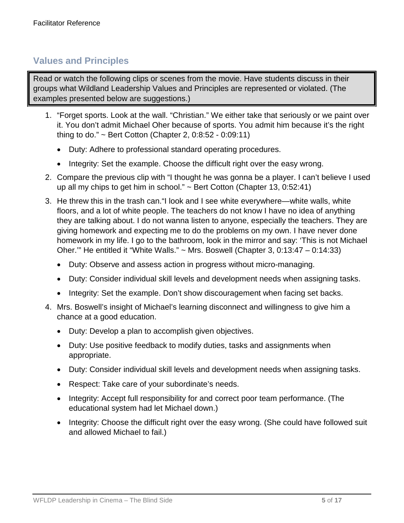## **Values and Principles**

Read or watch the following clips or scenes from the movie. Have students discuss in their groups what Wildland Leadership Values and Principles are represented or violated. (The examples presented below are suggestions.)

- 1. "Forget sports. Look at the wall. "Christian." We either take that seriously or we paint over it. You don't admit Michael Oher because of sports. You admit him because it's the right thing to do." ~ Bert Cotton (Chapter 2, 0:8:52 - 0:09:11)
	- Duty: Adhere to professional standard operating procedures.
	- Integrity: Set the example. Choose the difficult right over the easy wrong.
- 2. Compare the previous clip with "I thought he was gonna be a player. I can't believe I used up all my chips to get him in school." ~ Bert Cotton (Chapter 13, 0:52:41)
- 3. He threw this in the trash can."I look and I see white everywhere—white walls, white floors, and a lot of white people. The teachers do not know I have no idea of anything they are talking about. I do not wanna listen to anyone, especially the teachers. They are giving homework and expecting me to do the problems on my own. I have never done homework in my life. I go to the bathroom, look in the mirror and say: 'This is not Michael Oher.'" He entitled it "White Walls." ~ Mrs. Boswell (Chapter 3, 0:13:47 – 0:14:33)
	- Duty: Observe and assess action in progress without micro-managing.
	- Duty: Consider individual skill levels and development needs when assigning tasks.
	- Integrity: Set the example. Don't show discouragement when facing set backs.
- 4. Mrs. Boswell's insight of Michael's learning disconnect and willingness to give him a chance at a good education.
	- Duty: Develop a plan to accomplish given objectives.
	- Duty: Use positive feedback to modify duties, tasks and assignments when appropriate.
	- Duty: Consider individual skill levels and development needs when assigning tasks.
	- Respect: Take care of your subordinate's needs.
	- Integrity: Accept full responsibility for and correct poor team performance. (The educational system had let Michael down.)
	- Integrity: Choose the difficult right over the easy wrong. (She could have followed suit and allowed Michael to fail.)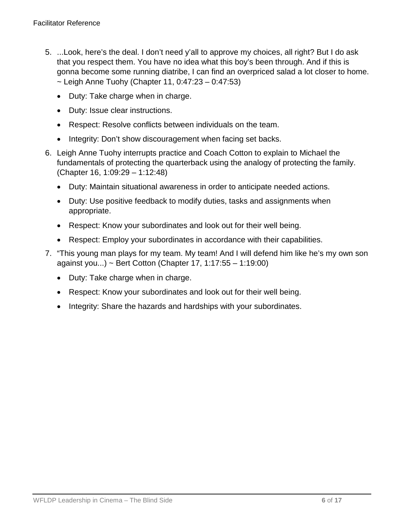- 5. ...Look, here's the deal. I don't need y'all to approve my choices, all right? But I do ask that you respect them. You have no idea what this boy's been through. And if this is gonna become some running diatribe, I can find an overpriced salad a lot closer to home.  $\sim$  Leigh Anne Tuohy (Chapter 11, 0:47:23 – 0:47:53)
	- Duty: Take charge when in charge.
	- Duty: Issue clear instructions.
	- Respect: Resolve conflicts between individuals on the team.
	- Integrity: Don't show discouragement when facing set backs.
- 6. Leigh Anne Tuohy interrupts practice and Coach Cotton to explain to Michael the fundamentals of protecting the quarterback using the analogy of protecting the family. (Chapter 16, 1:09:29 – 1:12:48)
	- Duty: Maintain situational awareness in order to anticipate needed actions.
	- Duty: Use positive feedback to modify duties, tasks and assignments when appropriate.
	- Respect: Know your subordinates and look out for their well being.
	- Respect: Employ your subordinates in accordance with their capabilities.
- 7. "This young man plays for my team. My team! And I will defend him like he's my own son against you...) ~ Bert Cotton (Chapter 17, 1:17:55 – 1:19:00)
	- Duty: Take charge when in charge.
	- Respect: Know your subordinates and look out for their well being.
	- Integrity: Share the hazards and hardships with your subordinates.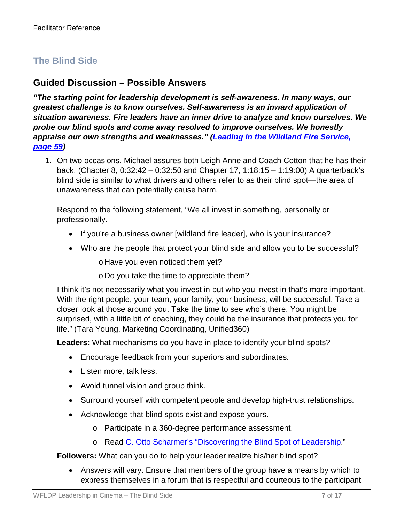## **The Blind Side**

### **Guided Discussion – Possible Answers**

*"The starting point for leadership development is self-awareness. In many ways, our greatest challenge is to know ourselves. Self-awareness is an inward application of situation awareness. Fire leaders have an inner drive to analyze and know ourselves. We probe our blind spots and come away resolved to improve ourselves. We honestly appraise our own strengths and weaknesses." [\(Leading in the Wildland Fire Service,](https://www.nwcg.gov/sites/default/files/products/pms494-2_0.pdf#page=63)  [page 59\)](https://www.nwcg.gov/sites/default/files/products/pms494-2_0.pdf#page=63)*

1. On two occasions, Michael assures both Leigh Anne and Coach Cotton that he has their back. (Chapter 8, 0:32:42 – 0:32:50 and Chapter 17, 1:18:15 – 1:19:00) A quarterback's blind side is similar to what drivers and others refer to as their blind spot—the area of unawareness that can potentially cause harm.

Respond to the following statement, "We all invest in something, personally or professionally.

- If you're a business owner [wildland fire leader], who is your insurance?
- Who are the people that protect your blind side and allow you to be successful?

o Have you even noticed them yet?

o Do you take the time to appreciate them?

I think it's not necessarily what you invest in but who you invest in that's more important. With the right people, your team, your family, your business, will be successful. Take a closer look at those around you. Take the time to see who's there. You might be surprised, with a little bit of coaching, they could be the insurance that protects you for life." (Tara Young, Marketing Coordinating, Unified360)

**Leaders:** What mechanisms do you have in place to identify your blind spots?

- Encourage feedback from your superiors and subordinates.
- Listen more, talk less.
- Avoid tunnel vision and group think.
- Surround yourself with competent people and develop high-trust relationships.
- Acknowledge that blind spots exist and expose yours.
	- o Participate in a 360-degree performance assessment.
	- o Read [C. Otto Scharmer's "Discovering the Blind Spot of Leadership.](http://www.allegrosite.be/artikels/Uncovering_the_blind_spot_of_leadership.pdf)"

**Followers:** What can you do to help your leader realize his/her blind spot?

• Answers will vary. Ensure that members of the group have a means by which to express themselves in a forum that is respectful and courteous to the participant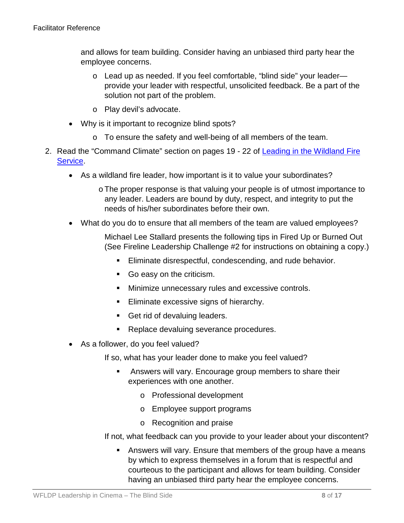and allows for team building. Consider having an unbiased third party hear the employee concerns.

- o Lead up as needed. If you feel comfortable, "blind side" your leader provide your leader with respectful, unsolicited feedback. Be a part of the solution not part of the problem.
- o Play devil's advocate.
- Why is it important to recognize blind spots?
	- o To ensure the safety and well-being of all members of the team.
- 2. Read the "Command Climate" section on pages 19 22 of Leading in the Wildland Fire [Service.](https://www.nwcg.gov/sites/default/files/products/pms494-2_0.pdf#page=23)
	- As a wildland fire leader, how important is it to value your subordinates?
		- oThe proper response is that valuing your people is of utmost importance to any leader. Leaders are bound by duty, respect, and integrity to put the needs of his/her subordinates before their own.
	- What do you do to ensure that all members of the team are valued employees?

Michael Lee Stallard presents the following tips in Fired Up or Burned Out (See Fireline Leadership Challenge #2 for instructions on obtaining a copy.)

- Eliminate disrespectful, condescending, and rude behavior.
- Go easy on the criticism.
- **Minimize unnecessary rules and excessive controls.**
- **Eliminate excessive signs of hierarchy.**
- Get rid of devaluing leaders.
- Replace devaluing severance procedures.
- As a follower, do you feel valued?

If so, what has your leader done to make you feel valued?

- Answers will vary. Encourage group members to share their experiences with one another.
	- o Professional development
	- o Employee support programs
	- o Recognition and praise

If not, what feedback can you provide to your leader about your discontent?

 Answers will vary. Ensure that members of the group have a means by which to express themselves in a forum that is respectful and courteous to the participant and allows for team building. Consider having an unbiased third party hear the employee concerns.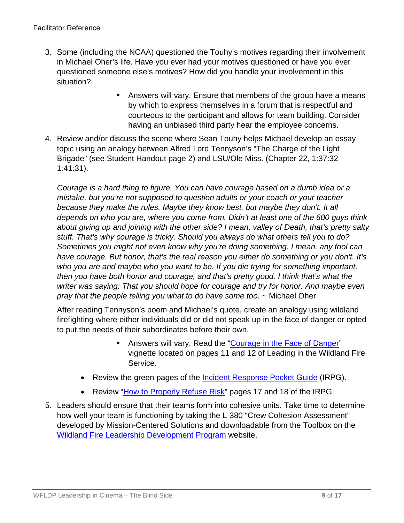- 3. Some (including the NCAA) questioned the Touhy's motives regarding their involvement in Michael Oher's life. Have you ever had your motives questioned or have you ever questioned someone else's motives? How did you handle your involvement in this situation?
	- Answers will vary. Ensure that members of the group have a means by which to express themselves in a forum that is respectful and courteous to the participant and allows for team building. Consider having an unbiased third party hear the employee concerns.
- 4. Review and/or discuss the scene where Sean Touhy helps Michael develop an essay topic using an analogy between Alfred Lord Tennyson's "The Charge of the Light Brigade" (see Student Handout page 2) and LSU/Ole Miss. (Chapter 22, 1:37:32 – 1:41:31).

*Courage is a hard thing to figure. You can have courage based on a dumb idea or a mistake, but you're not supposed to question adults or your coach or your teacher because they make the rules. Maybe they know best, but maybe they don't. It all depends on who you are, where you come from. Didn't at least one of the 600 guys think about giving up and joining with the other side? I mean, valley of Death, that's pretty salty stuff. That's why courage is tricky. Should you always do what others tell you to do? Sometimes you might not even know why you're doing something. I mean, any fool can have courage. But honor, that's the real reason you either do something or you don't. It's who you are and maybe who you want to be. If you die trying for something important, then you have both honor and courage, and that's pretty good. I think that's what the writer was saying: That you should hope for courage and try for honor. And maybe even pray that the people telling you what to do have some too.* ~ Michael Oher

After reading Tennyson's poem and Michael's quote, create an analogy using wildland firefighting where either individuals did or did not speak up in the face of danger or opted to put the needs of their subordinates before their own.

- Answers will vary. Read the ["Courage in the Face of Danger"](https://www.nwcg.gov/sites/default/files/products/pms494-2_0.pdf#page=15) vignette located on pages 11 and 12 of Leading in the Wildland Fire Service.
- Review the green pages of the *Incident Response Pocket Guide* (IRPG).
- Review ["How to Properly Refuse Risk"](https://www.nwcg.gov/sites/default/files/publications/pms461.pdf#page=35) pages 17 and 18 of the IRPG.
- 5. Leaders should ensure that their teams form into cohesive units. Take time to determine how well your team is functioning by taking the L-380 "Crew Cohesion Assessment" developed by Mission-Centered Solutions and downloadable from the Toolbox on the [Wildland Fire Leadership Development Program](https://www.fireleadership.gov/) website.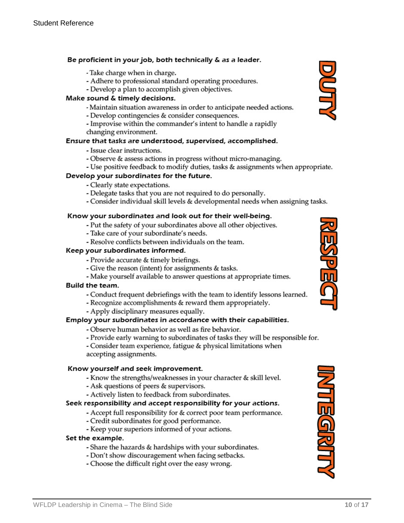#### Be proficient in your job, both technically & as a leader.

- Take charge when in charge.
- Adhere to professional standard operating procedures.
- Develop a plan to accomplish given objectives.

#### Make sound & timely decisions.

- Maintain situation awareness in order to anticipate needed actions.
- Develop contingencies & consider consequences.
- Improvise within the commander's intent to handle a rapidly changing environment.

#### Ensure that tasks are understood, supervised, accomplished.

- Issue clear instructions.
- Observe & assess actions in progress without micro-managing.
- Use positive feedback to modify duties, tasks & assignments when appropriate.

#### Develop your subordinates for the future.

- Clearly state expectations.
- Delegate tasks that you are not required to do personally.
- Consider individual skill levels & developmental needs when assigning tasks.

#### Know your subordinates and look out for their well-being.

- Put the safety of your subordinates above all other objectives.
- Take care of your subordinate's needs.
- Resolve conflicts between individuals on the team.

#### Keep your subordinates informed.

- Provide accurate & timely briefings.
- Give the reason (intent) for assignments & tasks.
- Make yourself available to answer questions at appropriate times.

#### Build the team.

- Conduct frequent debriefings with the team to identify lessons learned.
- Recognize accomplishments & reward them appropriately.
- Apply disciplinary measures equally.

#### Employ your subordinates in accordance with their capabilities.

- Observe human behavior as well as fire behavior.
- Provide early warning to subordinates of tasks they will be responsible for.

- Consider team experience, fatigue & physical limitations when accepting assignments.

#### Know yourself and seek improvement.

- Know the strengths/weaknesses in your character & skill level.
- Ask questions of peers & supervisors.
- Actively listen to feedback from subordinates.

#### Seek responsibility and accept responsibility for your actions.

- Accept full responsibility for & correct poor team performance.
- Credit subordinates for good performance.
- Keep your superiors informed of your actions.

#### Set the example.

- Share the hazards & hardships with your subordinates.
- Don't show discouragement when facing setbacks.
- Choose the difficult right over the easy wrong.





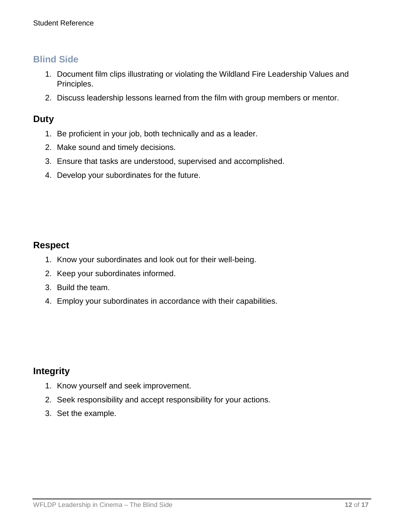## **Blind Side**

- 1. Document film clips illustrating or violating the Wildland Fire Leadership Values and Principles.
- 2. Discuss leadership lessons learned from the film with group members or mentor.

### **Duty**

- 1. Be proficient in your job, both technically and as a leader.
- 2. Make sound and timely decisions.
- 3. Ensure that tasks are understood, supervised and accomplished.
- 4. Develop your subordinates for the future.

### **Respect**

- 1. Know your subordinates and look out for their well-being.
- 2. Keep your subordinates informed.
- 3. Build the team.
- 4. Employ your subordinates in accordance with their capabilities.

## **Integrity**

- 1. Know yourself and seek improvement.
- 2. Seek responsibility and accept responsibility for your actions.
- 3. Set the example.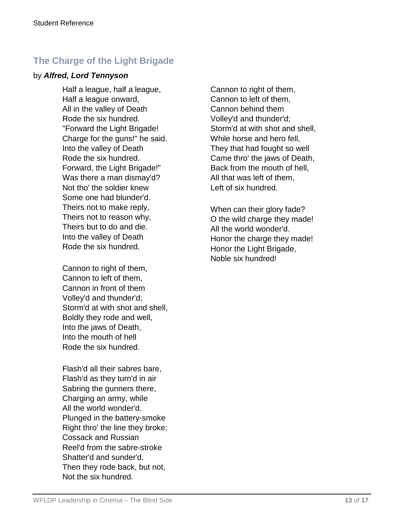# **The Charge of the Light Brigade**

### by *Alfred, Lord Tennyson*

Half a league, half a league, Half a league onward, All in the valley of Death Rode the six hundred. "Forward the Light Brigade! Charge for the guns!" he said. Into the valley of Death Rode the six hundred. Forward, the Light Brigade!" Was there a man dismay'd? Not tho' the soldier knew Some one had blunder'd. Theirs not to make reply, Theirs not to reason why, Theirs but to do and die. Into the valley of Death Rode the six hundred.

Cannon to right of them, Cannon to left of them, Cannon in front of them Volley'd and thunder'd; Storm'd at with shot and shell, Boldly they rode and well, Into the jaws of Death, Into the mouth of hell Rode the six hundred.

Flash'd all their sabres bare, Flash'd as they turn'd in air Sabring the gunners there, Charging an army, while All the world wonder'd. Plunged in the battery-smoke Right thro' the line they broke; Cossack and Russian Reel'd from the sabre-stroke Shatter'd and sunder'd. Then they rode back, but not, Not the six hundred.

Cannon to right of them, Cannon to left of them, Cannon behind them Volley'd and thunder'd; Storm'd at with shot and shell, While horse and hero fell, They that had fought so well Came thro' the jaws of Death, Back from the mouth of hell, All that was left of them, Left of six hundred.

When can their glory fade? O the wild charge they made! All the world wonder'd. Honor the charge they made! Honor the Light Brigade, Noble six hundred!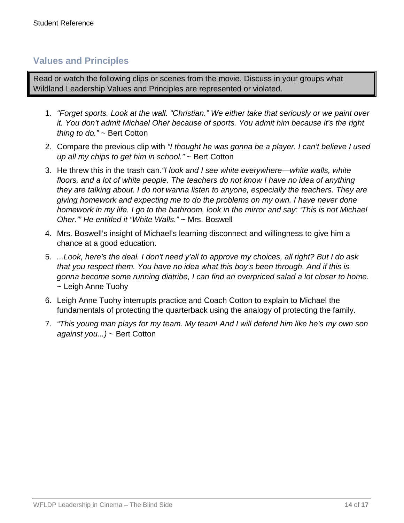## **Values and Principles**

Read or watch the following clips or scenes from the movie. Discuss in your groups what Wildland Leadership Values and Principles are represented or violated.

- 1. *"Forget sports. Look at the wall. "Christian." We either take that seriously or we paint over it. You don't admit Michael Oher because of sports. You admit him because it's the right thing to do."* ~ Bert Cotton
- 2. Compare the previous clip with *"I thought he was gonna be a player. I can't believe I used up all my chips to get him in school."* ~ Bert Cotton
- 3. He threw this in the trash can.*"I look and I see white everywhere—white walls, white floors, and a lot of white people. The teachers do not know I have no idea of anything they are talking about. I do not wanna listen to anyone, especially the teachers. They are giving homework and expecting me to do the problems on my own. I have never done homework in my life. I go to the bathroom, look in the mirror and say: 'This is not Michael Oher.'" He entitled it "White Walls."* ~ Mrs. Boswell
- 4. Mrs. Boswell's insight of Michael's learning disconnect and willingness to give him a chance at a good education.
- 5. *...Look, here's the deal. I don't need y'all to approve my choices, all right? But I do ask that you respect them. You have no idea what this boy's been through. And if this is gonna become some running diatribe, I can find an overpriced salad a lot closer to home.* ~ Leigh Anne Tuohy
- 6. Leigh Anne Tuohy interrupts practice and Coach Cotton to explain to Michael the fundamentals of protecting the quarterback using the analogy of protecting the family.
- 7. *"This young man plays for my team. My team! And I will defend him like he's my own son against you...)* ~ Bert Cotton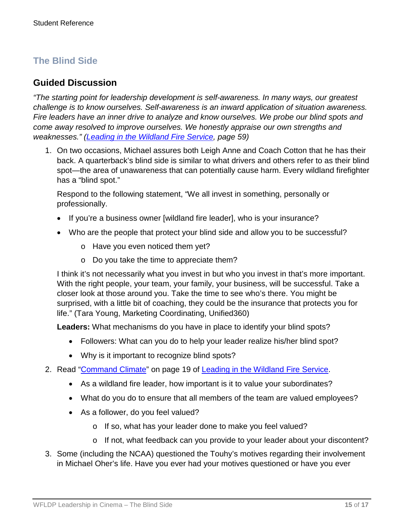# **The Blind Side**

### **Guided Discussion**

*"The starting point for leadership development is self-awareness. In many ways, our greatest challenge is to know ourselves. Self-awareness is an inward application of situation awareness. Fire leaders have an inner drive to analyze and know ourselves. We probe our blind spots and come away resolved to improve ourselves. We honestly appraise our own strengths and weaknesses." [\(Leading in the Wildland Fire Service,](https://www.nwcg.gov/sites/default/files/products/pms494-2_0.pdf#page=63) page 59)*

1. On two occasions, Michael assures both Leigh Anne and Coach Cotton that he has their back. A quarterback's blind side is similar to what drivers and others refer to as their blind spot—the area of unawareness that can potentially cause harm. Every wildland firefighter has a "blind spot."

Respond to the following statement, "We all invest in something, personally or professionally.

- If you're a business owner [wildland fire leader], who is your insurance?
- Who are the people that protect your blind side and allow you to be successful?
	- o Have you even noticed them yet?
	- o Do you take the time to appreciate them?

I think it's not necessarily what you invest in but who you invest in that's more important. With the right people, your team, your family, your business, will be successful. Take a closer look at those around you. Take the time to see who's there. You might be surprised, with a little bit of coaching, they could be the insurance that protects you for life." (Tara Young, Marketing Coordinating, Unified360)

**Leaders:** What mechanisms do you have in place to identify your blind spots?

- Followers: What can you do to help your leader realize his/her blind spot?
- Why is it important to recognize blind spots?
- 2. Read ["Command Climate"](https://www.nwcg.gov/sites/default/files/products/pms494-2_0.pdf#page=23) on page 19 of [Leading in the Wildland Fire Service.](https://www.nwcg.gov/sites/default/files/products/pms494-2_0.pdf)
	- As a wildland fire leader, how important is it to value your subordinates?
	- What do you do to ensure that all members of the team are valued employees?
	- As a follower, do you feel valued?
		- o If so, what has your leader done to make you feel valued?
		- o If not, what feedback can you provide to your leader about your discontent?
- 3. Some (including the NCAA) questioned the Touhy's motives regarding their involvement in Michael Oher's life. Have you ever had your motives questioned or have you ever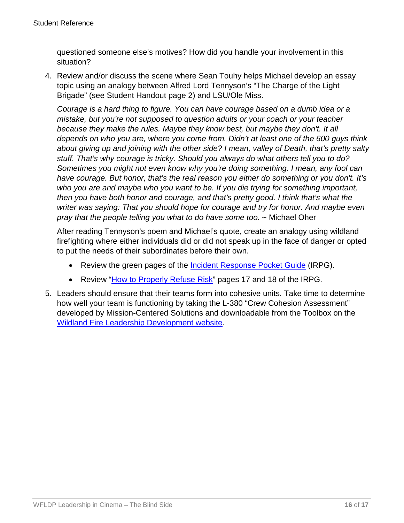questioned someone else's motives? How did you handle your involvement in this situation?

4. Review and/or discuss the scene where Sean Touhy helps Michael develop an essay topic using an analogy between Alfred Lord Tennyson's "The Charge of the Light Brigade" (see Student Handout page 2) and LSU/Ole Miss.

*Courage is a hard thing to figure. You can have courage based on a dumb idea or a mistake, but you're not supposed to question adults or your coach or your teacher because they make the rules. Maybe they know best, but maybe they don't. It all depends on who you are, where you come from. Didn't at least one of the 600 guys think about giving up and joining with the other side? I mean, valley of Death, that's pretty salty stuff. That's why courage is tricky. Should you always do what others tell you to do? Sometimes you might not even know why you're doing something. I mean, any fool can have courage. But honor, that's the real reason you either do something or you don't. It's who you are and maybe who you want to be. If you die trying for something important, then you have both honor and courage, and that's pretty good. I think that's what the writer was saying: That you should hope for courage and try for honor. And maybe even pray that the people telling you what to do have some too.* ~ Michael Oher

After reading Tennyson's poem and Michael's quote, create an analogy using wildland firefighting where either individuals did or did not speak up in the face of danger or opted to put the needs of their subordinates before their own.

- Review the green pages of the [Incident Response Pocket Guide](https://www.nwcg.gov/sites/default/files/publications/pms461.pdf) (IRPG).
- Review ["How to Properly Refuse Risk"](https://www.nwcg.gov/sites/default/files/publications/pms461.pdf#page=35) pages 17 and 18 of the IRPG.
- 5. Leaders should ensure that their teams form into cohesive units. Take time to determine how well your team is functioning by taking the L-380 "Crew Cohesion Assessment" developed by Mission-Centered Solutions and downloadable from the Toolbox on the [Wildland Fire Leadership Development website.](https://www.fireleadership.gov/)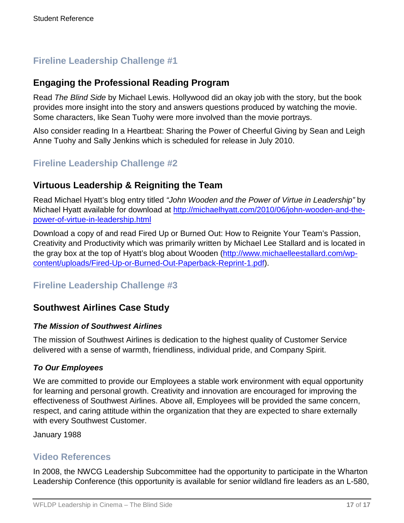# **Fireline Leadership Challenge #1**

## **Engaging the Professional Reading Program**

Read *The Blind Side* by Michael Lewis. Hollywood did an okay job with the story, but the book provides more insight into the story and answers questions produced by watching the movie. Some characters, like Sean Tuohy were more involved than the movie portrays.

Also consider reading In a Heartbeat: Sharing the Power of Cheerful Giving by Sean and Leigh Anne Tuohy and Sally Jenkins which is scheduled for release in July 2010.

## **Fireline Leadership Challenge #2**

## **Virtuous Leadership & Reigniting the Team**

Read Michael Hyatt's blog entry titled *"John Wooden and the Power of Virtue in Leadership"* by Michael Hyatt available for download at [http://michaelhyatt.com/2010/06/john-wooden-and-the](http://michaelhyatt.com/2010/06/john-wooden-and-the-power-of-virtue-in-leadership.html)[power-of-virtue-in-leadership.html](http://michaelhyatt.com/2010/06/john-wooden-and-the-power-of-virtue-in-leadership.html)

Download a copy of and read Fired Up or Burned Out: How to Reignite Your Team's Passion, Creativity and Productivity which was primarily written by Michael Lee Stallard and is located in the gray box at the top of Hyatt's blog about Wooden [\(http://www.michaelleestallard.com/wp](http://www.michaelleestallard.com/wp-content/uploads/Fired-Up-or-Burned-Out-Paperback-Reprint-1.pdf)[content/uploads/Fired-Up-or-Burned-Out-Paperback-Reprint-1.pdf\)](http://www.michaelleestallard.com/wp-content/uploads/Fired-Up-or-Burned-Out-Paperback-Reprint-1.pdf).

## **Fireline Leadership Challenge #3**

## **Southwest Airlines Case Study**

### *The Mission of Southwest Airlines*

The mission of Southwest Airlines is dedication to the highest quality of Customer Service delivered with a sense of warmth, friendliness, individual pride, and Company Spirit.

### *To Our Employees*

We are committed to provide our Employees a stable work environment with equal opportunity for learning and personal growth. Creativity and innovation are encouraged for improving the effectiveness of Southwest Airlines. Above all, Employees will be provided the same concern, respect, and caring attitude within the organization that they are expected to share externally with every Southwest Customer.

January 1988

## **Video References**

In 2008, the NWCG Leadership Subcommittee had the opportunity to participate in the Wharton Leadership Conference (this opportunity is available for senior wildland fire leaders as an L-580,